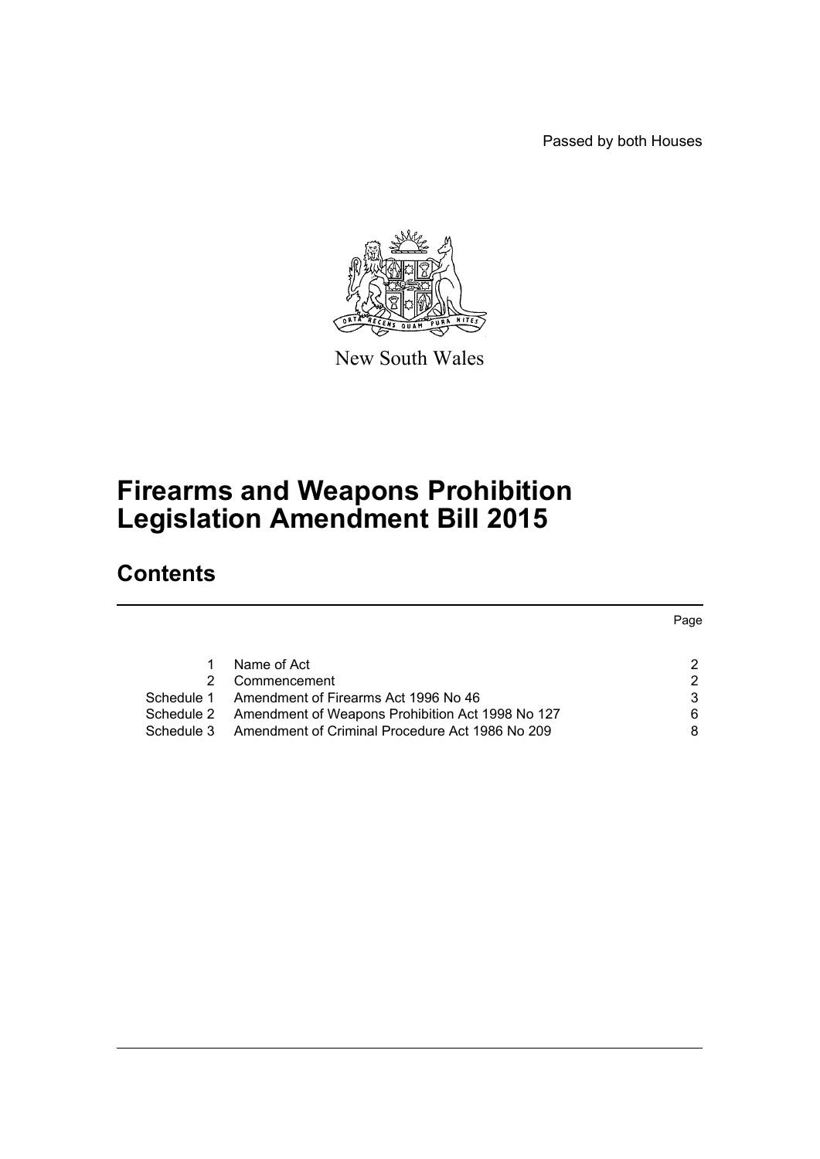Passed by both Houses



New South Wales

# **Firearms and Weapons Prohibition Legislation Amendment Bill 2015**

# **Contents**

|            |                                                  | Page          |
|------------|--------------------------------------------------|---------------|
|            |                                                  |               |
|            | Name of Act                                      | 2             |
| 2.         | Commencement                                     | $\mathcal{P}$ |
| Schedule 1 | Amendment of Firearms Act 1996 No 46             | 3             |
| Schedule 2 | Amendment of Weapons Prohibition Act 1998 No 127 | 6             |
| Schedule 3 | Amendment of Criminal Procedure Act 1986 No 209  | 8             |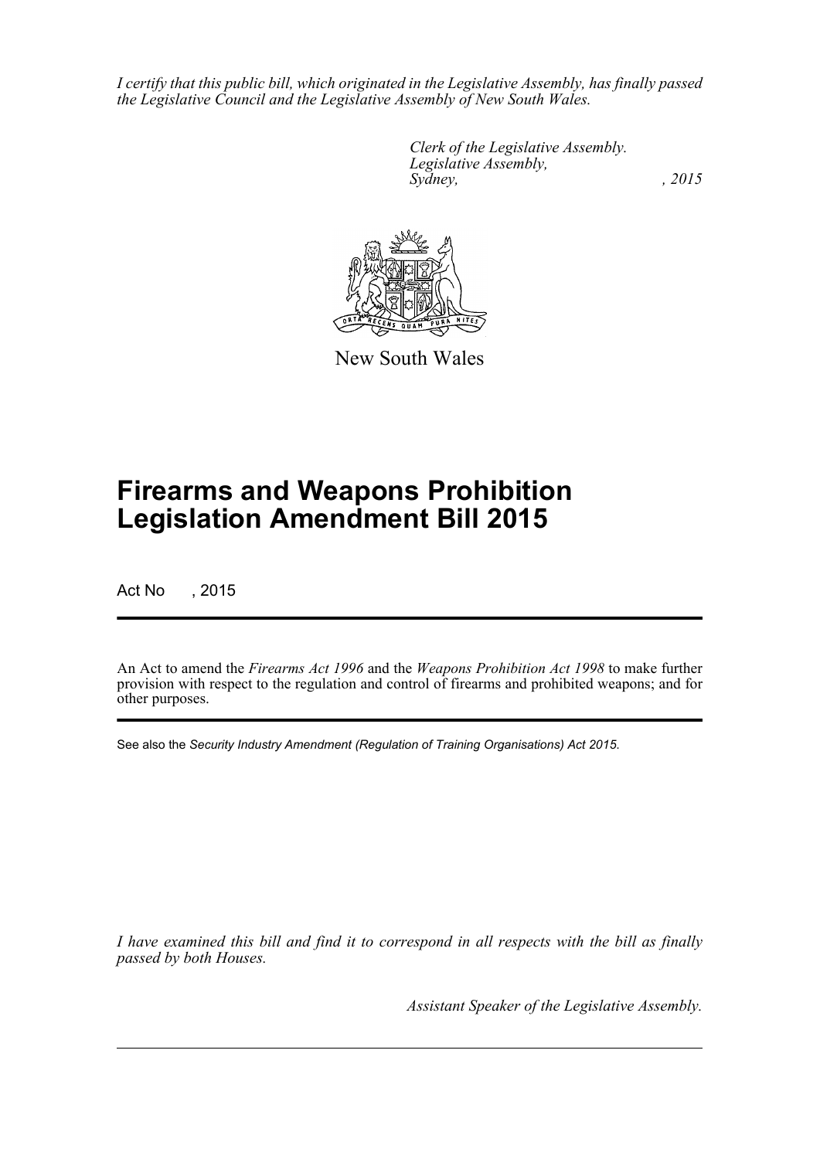*I certify that this public bill, which originated in the Legislative Assembly, has finally passed the Legislative Council and the Legislative Assembly of New South Wales.*

> *Clerk of the Legislative Assembly. Legislative Assembly, Sydney,* , 2015



New South Wales

# **Firearms and Weapons Prohibition Legislation Amendment Bill 2015**

Act No , 2015

An Act to amend the *Firearms Act 1996* and the *Weapons Prohibition Act 1998* to make further provision with respect to the regulation and control of firearms and prohibited weapons; and for other purposes.

See also the *Security Industry Amendment (Regulation of Training Organisations) Act 2015*.

*I have examined this bill and find it to correspond in all respects with the bill as finally passed by both Houses.*

*Assistant Speaker of the Legislative Assembly.*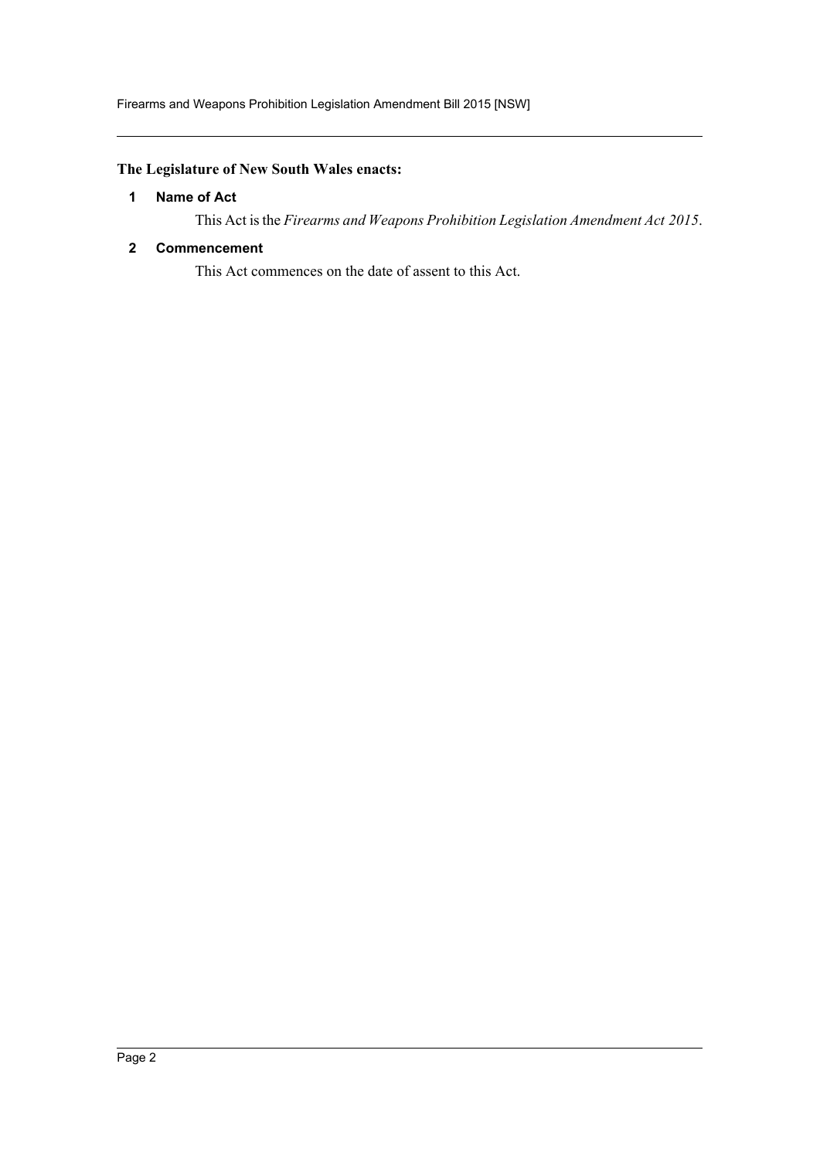# <span id="page-2-0"></span>**The Legislature of New South Wales enacts:**

# **1 Name of Act**

This Act is the *Firearms and Weapons Prohibition Legislation Amendment Act 2015*.

## <span id="page-2-1"></span>**2 Commencement**

This Act commences on the date of assent to this Act.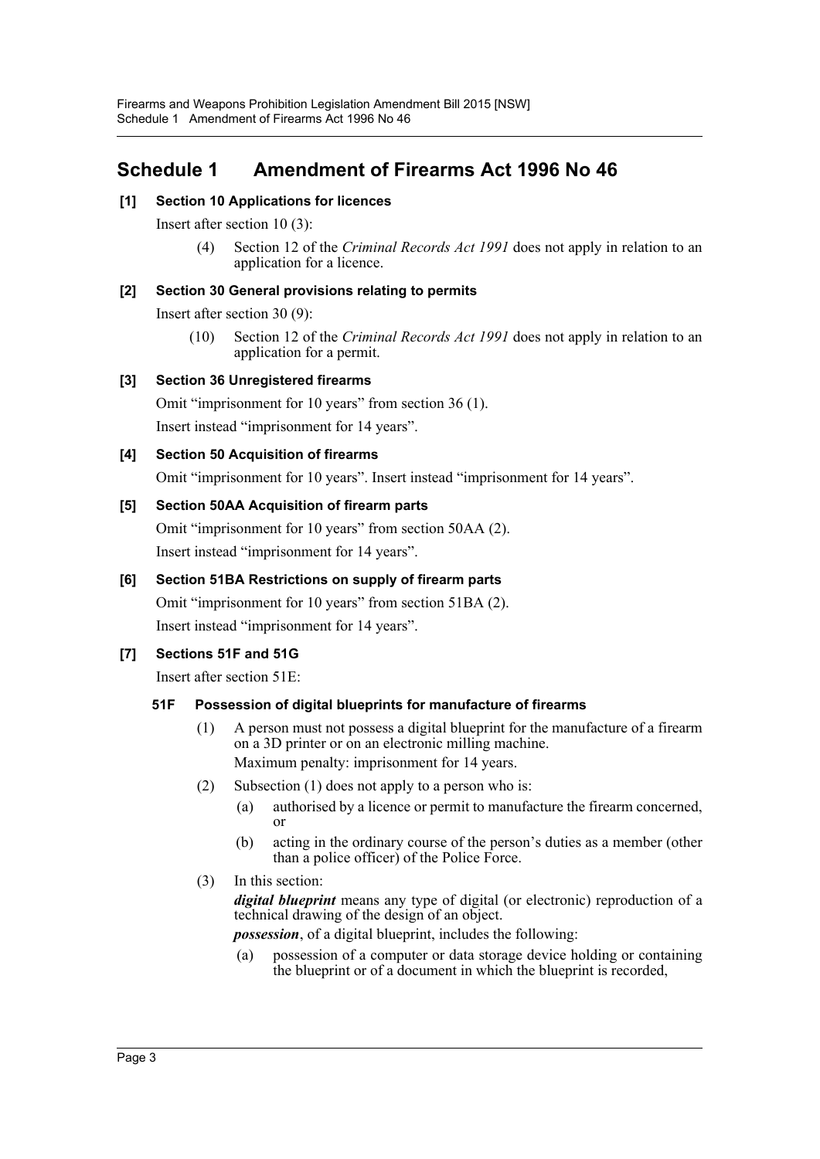# <span id="page-3-0"></span>**Schedule 1 Amendment of Firearms Act 1996 No 46**

# **[1] Section 10 Applications for licences**

Insert after section 10 (3):

(4) Section 12 of the *Criminal Records Act 1991* does not apply in relation to an application for a licence.

# **[2] Section 30 General provisions relating to permits**

Insert after section 30 (9):

(10) Section 12 of the *Criminal Records Act 1991* does not apply in relation to an application for a permit.

# **[3] Section 36 Unregistered firearms**

Omit "imprisonment for 10 years" from section 36 (1).

Insert instead "imprisonment for 14 years".

# **[4] Section 50 Acquisition of firearms**

Omit "imprisonment for 10 years". Insert instead "imprisonment for 14 years".

# **[5] Section 50AA Acquisition of firearm parts**

Omit "imprisonment for 10 years" from section 50AA (2). Insert instead "imprisonment for 14 years".

# **[6] Section 51BA Restrictions on supply of firearm parts**

Omit "imprisonment for 10 years" from section 51BA (2). Insert instead "imprisonment for 14 years".

# **[7] Sections 51F and 51G**

Insert after section 51E:

# **51F Possession of digital blueprints for manufacture of firearms**

- (1) A person must not possess a digital blueprint for the manufacture of a firearm on a 3D printer or on an electronic milling machine. Maximum penalty: imprisonment for 14 years.
- (2) Subsection (1) does not apply to a person who is:
	- (a) authorised by a licence or permit to manufacture the firearm concerned, or
	- (b) acting in the ordinary course of the person's duties as a member (other than a police officer) of the Police Force.
- (3) In this section:

*digital blueprint* means any type of digital (or electronic) reproduction of a technical drawing of the design of an object.

*possession*, of a digital blueprint, includes the following:

(a) possession of a computer or data storage device holding or containing the blueprint or of a document in which the blueprint is recorded,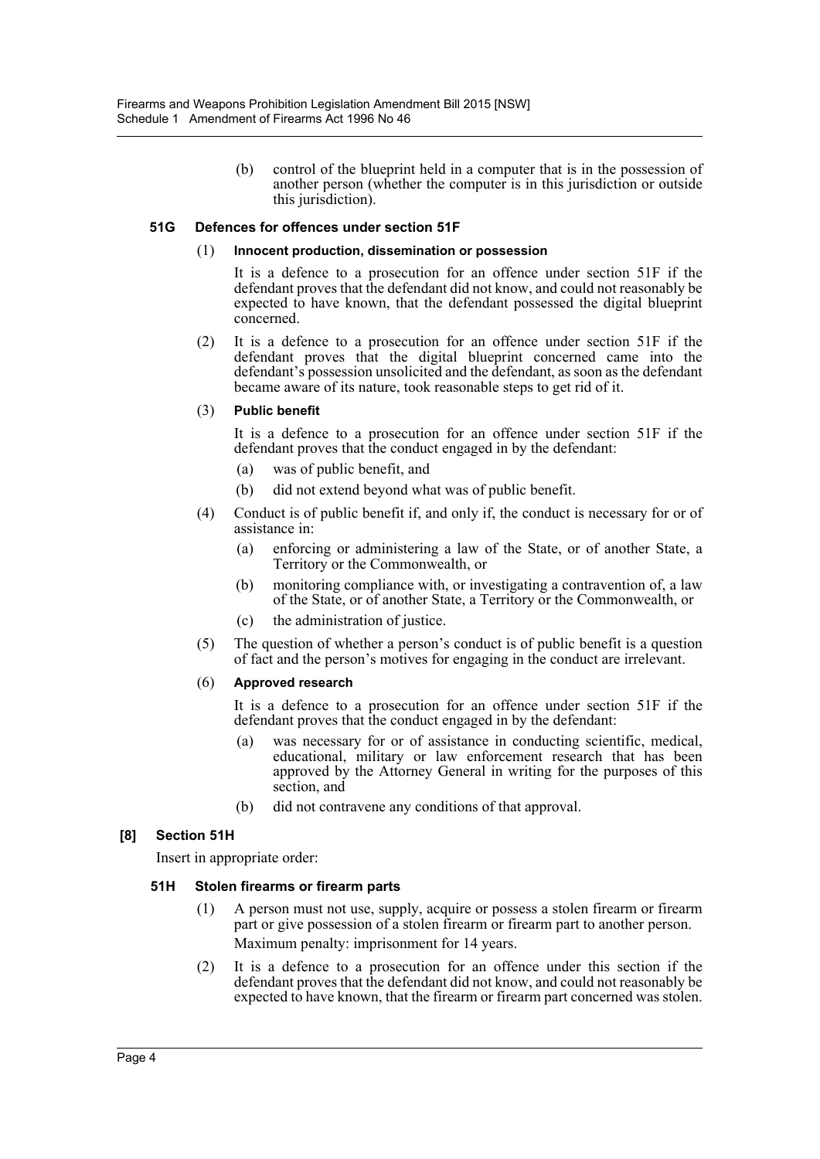(b) control of the blueprint held in a computer that is in the possession of another person (whether the computer is in this jurisdiction or outside this jurisdiction).

#### **51G Defences for offences under section 51F**

#### (1) **Innocent production, dissemination or possession**

It is a defence to a prosecution for an offence under section 51F if the defendant proves that the defendant did not know, and could not reasonably be expected to have known, that the defendant possessed the digital blueprint concerned.

(2) It is a defence to a prosecution for an offence under section 51F if the defendant proves that the digital blueprint concerned came into the defendant's possession unsolicited and the defendant, as soon as the defendant became aware of its nature, took reasonable steps to get rid of it.

#### (3) **Public benefit**

It is a defence to a prosecution for an offence under section 51F if the defendant proves that the conduct engaged in by the defendant:

- (a) was of public benefit, and
- (b) did not extend beyond what was of public benefit.
- (4) Conduct is of public benefit if, and only if, the conduct is necessary for or of assistance in:
	- (a) enforcing or administering a law of the State, or of another State, a Territory or the Commonwealth, or
	- (b) monitoring compliance with, or investigating a contravention of, a law of the State, or of another State, a Territory or the Commonwealth, or
	- (c) the administration of justice.
- (5) The question of whether a person's conduct is of public benefit is a question of fact and the person's motives for engaging in the conduct are irrelevant.

#### (6) **Approved research**

It is a defence to a prosecution for an offence under section 51F if the defendant proves that the conduct engaged in by the defendant:

- (a) was necessary for or of assistance in conducting scientific, medical, educational, military or law enforcement research that has been approved by the Attorney General in writing for the purposes of this section, and
- (b) did not contravene any conditions of that approval.

#### **[8] Section 51H**

Insert in appropriate order:

#### **51H Stolen firearms or firearm parts**

- (1) A person must not use, supply, acquire or possess a stolen firearm or firearm part or give possession of a stolen firearm or firearm part to another person. Maximum penalty: imprisonment for 14 years.
- (2) It is a defence to a prosecution for an offence under this section if the defendant proves that the defendant did not know, and could not reasonably be expected to have known, that the firearm or firearm part concerned was stolen.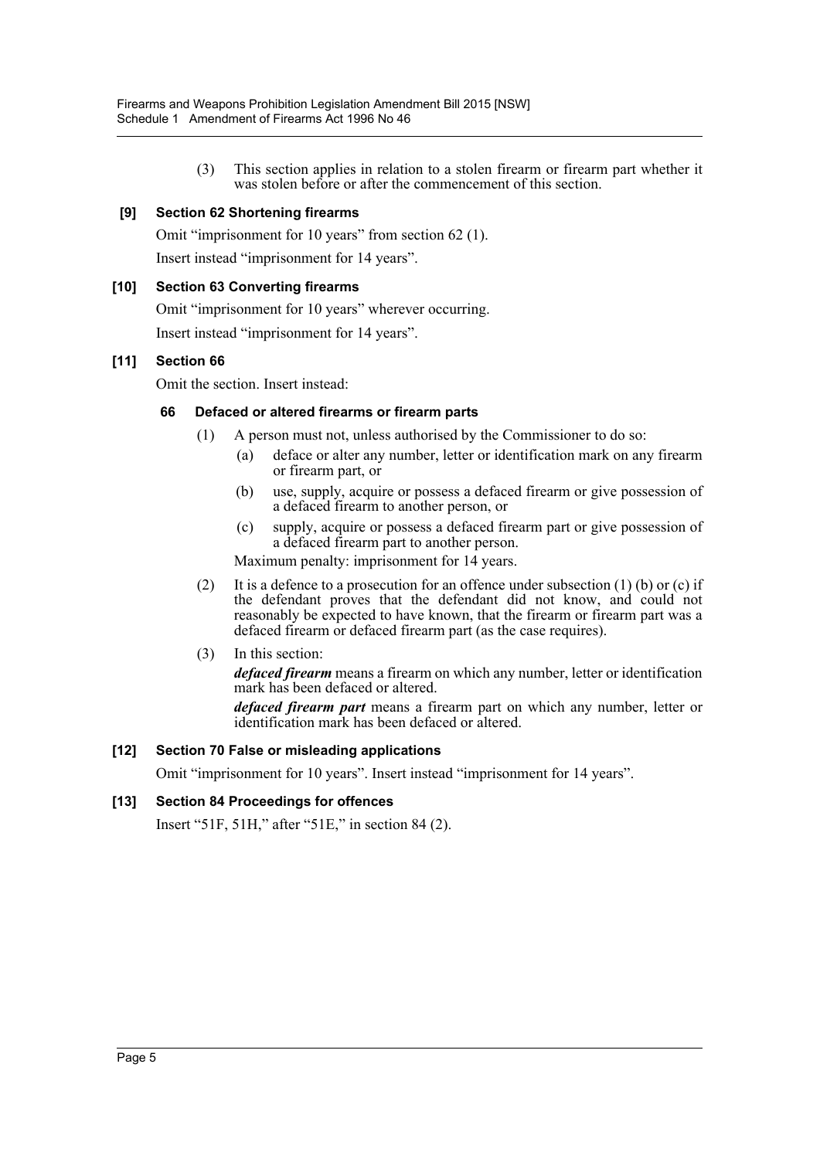(3) This section applies in relation to a stolen firearm or firearm part whether it was stolen before or after the commencement of this section.

# **[9] Section 62 Shortening firearms**

Omit "imprisonment for 10 years" from section 62 (1). Insert instead "imprisonment for 14 years".

## **[10] Section 63 Converting firearms**

Omit "imprisonment for 10 years" wherever occurring. Insert instead "imprisonment for 14 years".

## **[11] Section 66**

Omit the section. Insert instead:

## **66 Defaced or altered firearms or firearm parts**

- (1) A person must not, unless authorised by the Commissioner to do so:
	- (a) deface or alter any number, letter or identification mark on any firearm or firearm part, or
	- (b) use, supply, acquire or possess a defaced firearm or give possession of a defaced firearm to another person, or
	- (c) supply, acquire or possess a defaced firearm part or give possession of a defaced firearm part to another person.

Maximum penalty: imprisonment for 14 years.

- (2) It is a defence to a prosecution for an offence under subsection  $(1)$  (b) or (c) if the defendant proves that the defendant did not know, and could not reasonably be expected to have known, that the firearm or firearm part was a defaced firearm or defaced firearm part (as the case requires).
- (3) In this section:

*defaced firearm* means a firearm on which any number, letter or identification mark has been defaced or altered.

*defaced firearm part* means a firearm part on which any number, letter or identification mark has been defaced or altered.

#### **[12] Section 70 False or misleading applications**

Omit "imprisonment for 10 years". Insert instead "imprisonment for 14 years".

#### **[13] Section 84 Proceedings for offences**

Insert "51F, 51H," after "51E," in section 84 (2).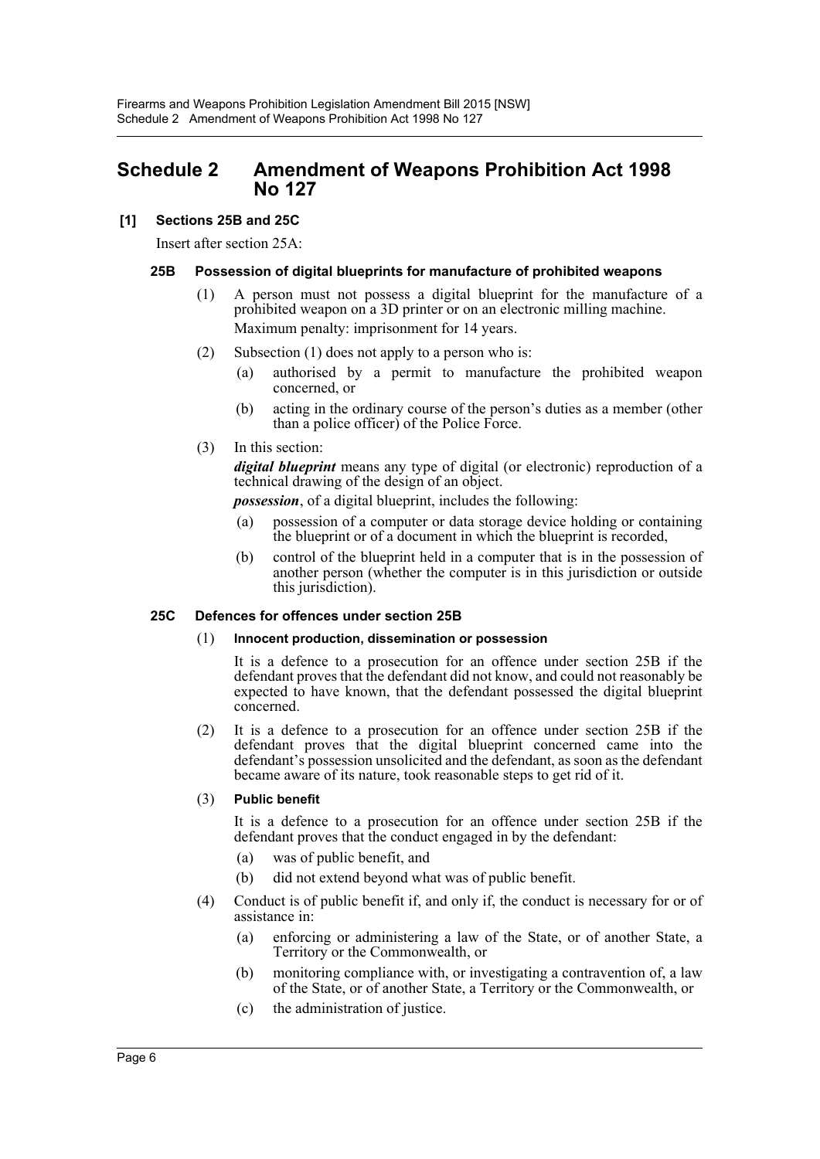# <span id="page-6-0"></span>**Schedule 2 Amendment of Weapons Prohibition Act 1998 No 127**

## **[1] Sections 25B and 25C**

Insert after section 25A:

#### **25B Possession of digital blueprints for manufacture of prohibited weapons**

- (1) A person must not possess a digital blueprint for the manufacture of a prohibited weapon on a 3D printer or on an electronic milling machine. Maximum penalty: imprisonment for 14 years.
- (2) Subsection (1) does not apply to a person who is:
	- (a) authorised by a permit to manufacture the prohibited weapon concerned, or
	- (b) acting in the ordinary course of the person's duties as a member (other than a police officer) of the Police Force.
- (3) In this section:

*digital blueprint* means any type of digital (or electronic) reproduction of a technical drawing of the design of an object.

*possession*, of a digital blueprint, includes the following:

- (a) possession of a computer or data storage device holding or containing the blueprint or of a document in which the blueprint is recorded,
- (b) control of the blueprint held in a computer that is in the possession of another person (whether the computer is in this jurisdiction or outside this jurisdiction).

#### **25C Defences for offences under section 25B**

#### (1) **Innocent production, dissemination or possession**

It is a defence to a prosecution for an offence under section 25B if the defendant proves that the defendant did not know, and could not reasonably be expected to have known, that the defendant possessed the digital blueprint concerned.

(2) It is a defence to a prosecution for an offence under section 25B if the defendant proves that the digital blueprint concerned came into the defendant's possession unsolicited and the defendant, as soon as the defendant became aware of its nature, took reasonable steps to get rid of it.

#### (3) **Public benefit**

It is a defence to a prosecution for an offence under section 25B if the defendant proves that the conduct engaged in by the defendant:

- (a) was of public benefit, and
- (b) did not extend beyond what was of public benefit.
- (4) Conduct is of public benefit if, and only if, the conduct is necessary for or of assistance in:
	- (a) enforcing or administering a law of the State, or of another State, a Territory or the Commonwealth, or
	- (b) monitoring compliance with, or investigating a contravention of, a law of the State, or of another State, a Territory or the Commonwealth, or
	- (c) the administration of justice.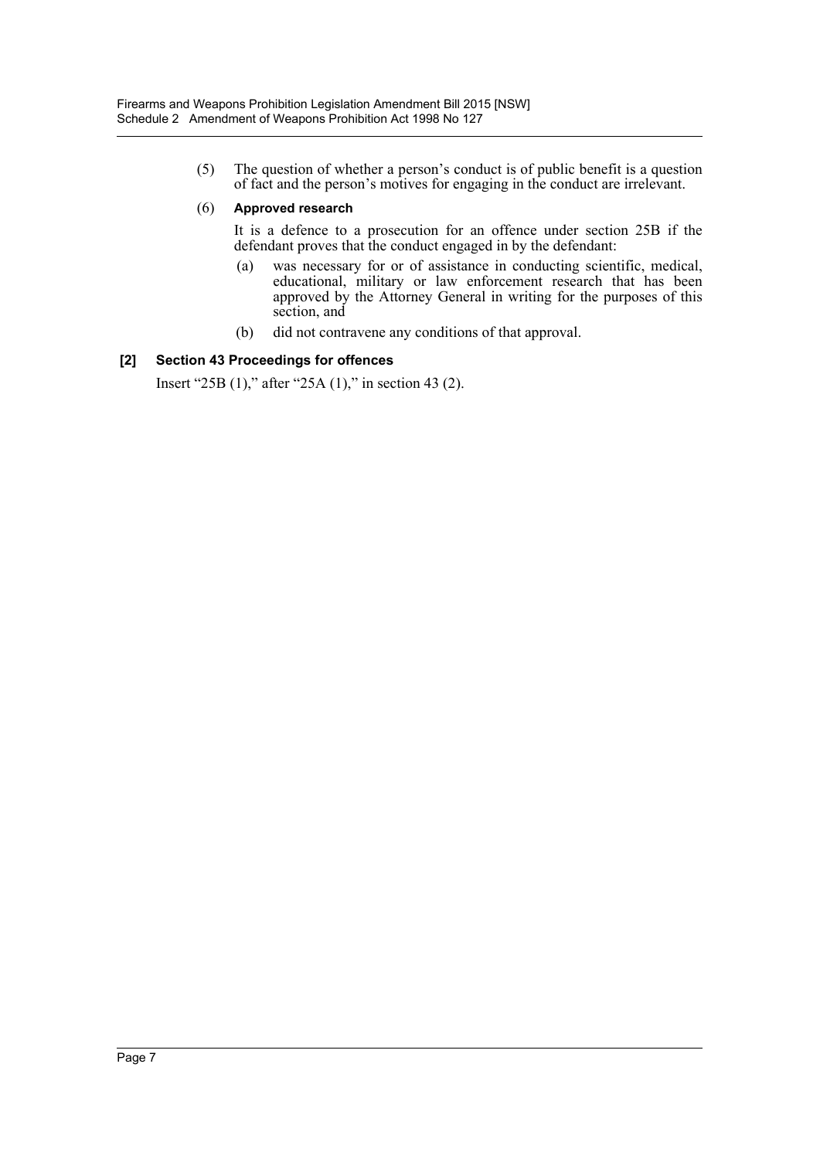(5) The question of whether a person's conduct is of public benefit is a question of fact and the person's motives for engaging in the conduct are irrelevant.

#### (6) **Approved research**

It is a defence to a prosecution for an offence under section 25B if the defendant proves that the conduct engaged in by the defendant:

- (a) was necessary for or of assistance in conducting scientific, medical, educational, military or law enforcement research that has been approved by the Attorney General in writing for the purposes of this section, and
- (b) did not contravene any conditions of that approval.

## **[2] Section 43 Proceedings for offences**

Insert "25B (1)," after "25A (1)," in section 43 (2).